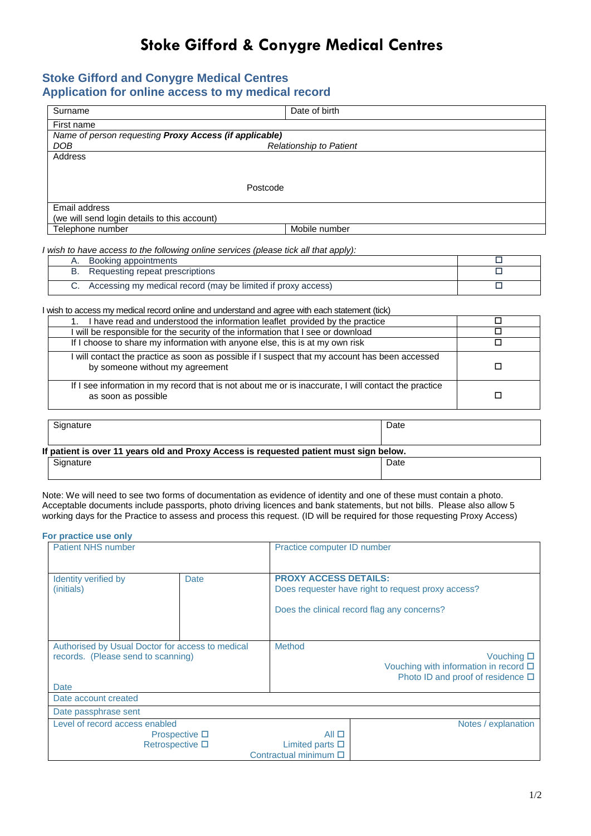## **Stoke Gifford & Conygre Medical Centres**

## **Stoke Gifford and Conygre Medical Centres Application for online access to my medical record**

| Surname                                                | Date of birth                  |  |  |
|--------------------------------------------------------|--------------------------------|--|--|
| First name                                             |                                |  |  |
| Name of person requesting Proxy Access (if applicable) |                                |  |  |
| DOB                                                    | <b>Relationship to Patient</b> |  |  |
| Address                                                |                                |  |  |
|                                                        |                                |  |  |
|                                                        | Postcode                       |  |  |
| Email address                                          |                                |  |  |
| (we will send login details to this account)           |                                |  |  |
| Telephone number                                       | Mobile number                  |  |  |

*I wish to have access to the following online services (please tick all that apply):*

| Booking appointments                                            |  |
|-----------------------------------------------------------------|--|
| Requesting repeat prescriptions                                 |  |
| C. Accessing my medical record (may be limited if proxy access) |  |

I wish to access my medical record online and understand and agree with each statement (tick)

| have read and understood the information leaflet provided by the practice                                                         |   |
|-----------------------------------------------------------------------------------------------------------------------------------|---|
| I will be responsible for the security of the information that I see or download                                                  |   |
| If I choose to share my information with anyone else, this is at my own risk                                                      |   |
| I will contact the practice as soon as possible if I suspect that my account has been accessed<br>by someone without my agreement |   |
| If I see information in my record that is not about me or is inaccurate, I will contact the practice<br>as soon as possible       | П |

| Signature                                                                              | Date |  |  |
|----------------------------------------------------------------------------------------|------|--|--|
| If patient is over 11 years old and Proxy Access is requested patient must sign below. |      |  |  |
| Signature                                                                              | Date |  |  |

Note: We will need to see two forms of documentation as evidence of identity and one of these must contain a photo. Acceptable documents include passports, photo driving licences and bank statements, but not bills. Please also allow 5 working days for the Practice to assess and process this request. (ID will be required for those requesting Proxy Access)

| For practice use only |  |  |  |  |
|-----------------------|--|--|--|--|
|-----------------------|--|--|--|--|

| <b>Patient NHS number</b>                                                                      |                                          | Practice computer ID number                                            |                                                                                                       |
|------------------------------------------------------------------------------------------------|------------------------------------------|------------------------------------------------------------------------|-------------------------------------------------------------------------------------------------------|
| Identity verified by<br>(initials)                                                             | Date                                     | <b>PROXY ACCESS DETAILS:</b>                                           | Does requester have right to request proxy access?<br>Does the clinical record flag any concerns?     |
| Authorised by Usual Doctor for access to medical<br>records. (Please send to scanning)<br>Date |                                          | Method                                                                 | Vouching $\square$<br>Vouching with information in record $\Box$<br>Photo ID and proof of residence □ |
| Date account created                                                                           |                                          |                                                                        |                                                                                                       |
| Date passphrase sent                                                                           |                                          |                                                                        |                                                                                                       |
| Level of record access enabled                                                                 | Prospective $\square$<br>Retrospective □ | $All \Box$<br>Limited parts $\square$<br>Contractual minimum $\square$ | Notes / explanation                                                                                   |